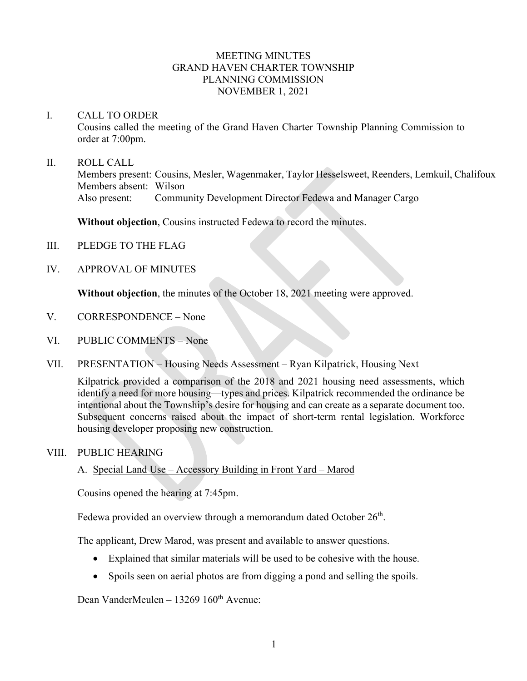### MEETING MINUTES GRAND HAVEN CHARTER TOWNSHIP PLANNING COMMISSION NOVEMBER 1, 2021

#### I. CALL TO ORDER

Cousins called the meeting of the Grand Haven Charter Township Planning Commission to order at 7:00pm.

#### II. ROLL CALL

Members present: Cousins, Mesler, Wagenmaker, Taylor Hesselsweet, Reenders, Lemkuil, Chalifoux Members absent: Wilson Also present: Community Development Director Fedewa and Manager Cargo

**Without objection**, Cousins instructed Fedewa to record the minutes.

- III. PLEDGE TO THE FLAG
- IV. APPROVAL OF MINUTES

**Without objection**, the minutes of the October 18, 2021 meeting were approved.

- V. CORRESPONDENCE None
- VI. PUBLIC COMMENTS None
- VII. PRESENTATION Housing Needs Assessment Ryan Kilpatrick, Housing Next

Kilpatrick provided a comparison of the 2018 and 2021 housing need assessments, which identify a need for more housing—types and prices. Kilpatrick recommended the ordinance be intentional about the Township's desire for housing and can create as a separate document too. Subsequent concerns raised about the impact of short-term rental legislation. Workforce housing developer proposing new construction.

### VIII. PUBLIC HEARING

A. Special Land Use – Accessory Building in Front Yard – Marod

Cousins opened the hearing at 7:45pm.

Fedewa provided an overview through a memorandum dated October  $26<sup>th</sup>$ .

The applicant, Drew Marod, was present and available to answer questions.

- Explained that similar materials will be used to be cohesive with the house.
- Spoils seen on aerial photos are from digging a pond and selling the spoils.

Dean VanderMeulen – 13269 160<sup>th</sup> Avenue: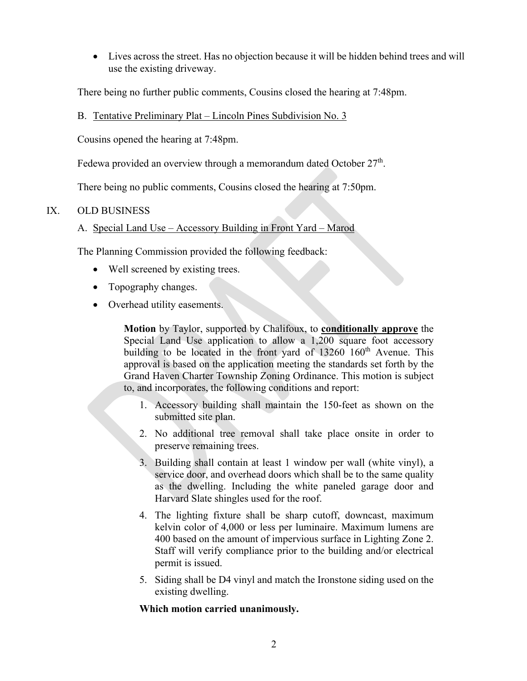• Lives across the street. Has no objection because it will be hidden behind trees and will use the existing driveway.

There being no further public comments, Cousins closed the hearing at 7:48pm.

## B. Tentative Preliminary Plat – Lincoln Pines Subdivision No. 3

Cousins opened the hearing at 7:48pm.

Fedewa provided an overview through a memorandum dated October  $27<sup>th</sup>$ .

There being no public comments, Cousins closed the hearing at 7:50pm.

# IX. OLD BUSINESS

# A. Special Land Use – Accessory Building in Front Yard – Marod

The Planning Commission provided the following feedback:

- Well screened by existing trees.
- Topography changes.
- Overhead utility easements.

**Motion** by Taylor, supported by Chalifoux, to **conditionally approve** the Special Land Use application to allow a 1,200 square foot accessory building to be located in the front yard of 13260 160<sup>th</sup> Avenue. This approval is based on the application meeting the standards set forth by the Grand Haven Charter Township Zoning Ordinance. This motion is subject to, and incorporates, the following conditions and report:

- 1. Accessory building shall maintain the 150-feet as shown on the submitted site plan.
- 2. No additional tree removal shall take place onsite in order to preserve remaining trees.
- 3. Building shall contain at least 1 window per wall (white vinyl), a service door, and overhead doors which shall be to the same quality as the dwelling. Including the white paneled garage door and Harvard Slate shingles used for the roof.
- 4. The lighting fixture shall be sharp cutoff, downcast, maximum kelvin color of 4,000 or less per luminaire. Maximum lumens are 400 based on the amount of impervious surface in Lighting Zone 2. Staff will verify compliance prior to the building and/or electrical permit is issued.
- 5. Siding shall be D4 vinyl and match the Ironstone siding used on the existing dwelling.

## **Which motion carried unanimously.**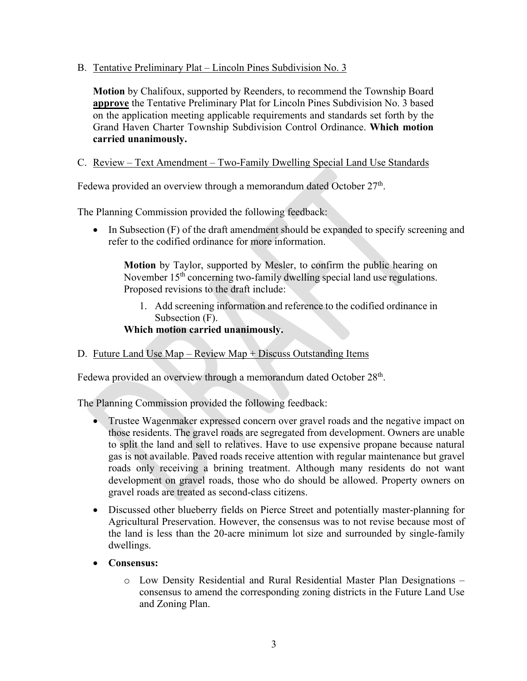B. Tentative Preliminary Plat – Lincoln Pines Subdivision No. 3

**Motion** by Chalifoux, supported by Reenders, to recommend the Township Board **approve** the Tentative Preliminary Plat for Lincoln Pines Subdivision No. 3 based on the application meeting applicable requirements and standards set forth by the Grand Haven Charter Township Subdivision Control Ordinance. **Which motion carried unanimously.**

### C. Review – Text Amendment – Two-Family Dwelling Special Land Use Standards

Fedewa provided an overview through a memorandum dated October 27<sup>th</sup>.

The Planning Commission provided the following feedback:

• In Subsection (F) of the draft amendment should be expanded to specify screening and refer to the codified ordinance for more information.

**Motion** by Taylor, supported by Mesler, to confirm the public hearing on November 15<sup>th</sup> concerning two-family dwelling special land use regulations. Proposed revisions to the draft include:

1. Add screening information and reference to the codified ordinance in Subsection (F).

**Which motion carried unanimously.**

D. Future Land Use Map – Review Map + Discuss Outstanding Items

Fedewa provided an overview through a memorandum dated October 28<sup>th</sup>.

The Planning Commission provided the following feedback:

- Trustee Wagenmaker expressed concern over gravel roads and the negative impact on those residents. The gravel roads are segregated from development. Owners are unable to split the land and sell to relatives. Have to use expensive propane because natural gas is not available. Paved roads receive attention with regular maintenance but gravel roads only receiving a brining treatment. Although many residents do not want development on gravel roads, those who do should be allowed. Property owners on gravel roads are treated as second-class citizens.
- Discussed other blueberry fields on Pierce Street and potentially master-planning for Agricultural Preservation. However, the consensus was to not revise because most of the land is less than the 20-acre minimum lot size and surrounded by single-family dwellings.
- **Consensus:**
	- o Low Density Residential and Rural Residential Master Plan Designations consensus to amend the corresponding zoning districts in the Future Land Use and Zoning Plan.